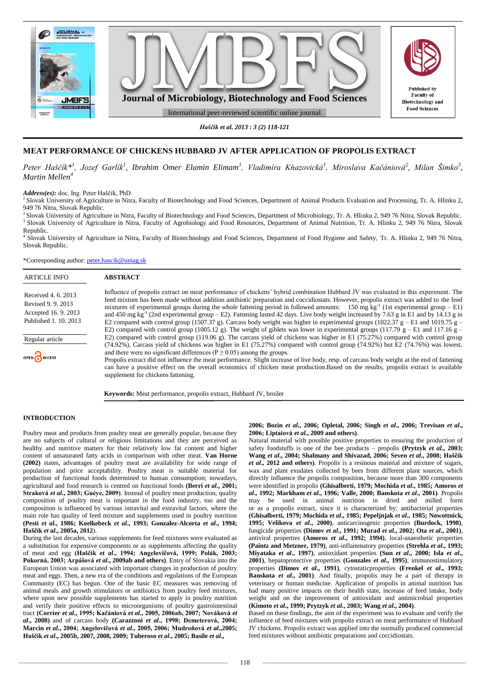

*Haščík et al. 2013 : 3 (2) 118-121*

# **MEAT PERFORMANCE OF CHICKENS HUBBARD JV AFTER APPLICATION OF PROPOLIS EXTRACT**

*Peter Haščík\*<sup>1</sup> , Jozef Garlík<sup>1</sup> , Ibrahim Omer Elamin Elimam<sup>1</sup> , Vladimíra Kňazovická<sup>1</sup> , Miroslava Kačániová<sup>2</sup> , Milan Šimko<sup>3</sup> , Martin Mellen<sup>4</sup>*

*Address(es):* doc. Ing. Peter Haščík, PhD.

<sup>1</sup> Slovak University of Agriculture in Nitra, Faculty of Biotechnology and Food Sciences, Department of Animal Products Evaluation and Processing, Tr. A. Hlinku 2, 949 76 Nitra, Slovak Republic.

<sup>2</sup>Slovak University of Agriculture in Nitra, Faculty of Biotechnology and Food Sciences, Department of Microbiology, Tr. A. Hlinku 2, 949 76 Nitra, Slovak Republic. <sup>3</sup> Slovak University of Agriculture in Nitra, Faculty of Agrobiology and Food Resources, Department of Animal Nutrition, Tr. A. Hlinku 2, 949 76 Nitra, Slovak Republic.

4 Slovak University of Agriculture in Nitra, Faculty of Biotechnology and Food Sciences, Department of Food Hygiene and Safety, Tr. A. Hlinku 2, 949 76 Nitra, Slovak Republic.

\*Corresponding author: [peter.hascik@uniag.sk](mailto:peter.hascik@uniag.sk)

| <b>ARTICLE INFO</b>                                                                     | <b>ABSTRACT</b>                                                                                                                                                                                                                                                                                                                                                                                                                                                                                                                                                                                                                                                                                                                                                                                                                                            |
|-----------------------------------------------------------------------------------------|------------------------------------------------------------------------------------------------------------------------------------------------------------------------------------------------------------------------------------------------------------------------------------------------------------------------------------------------------------------------------------------------------------------------------------------------------------------------------------------------------------------------------------------------------------------------------------------------------------------------------------------------------------------------------------------------------------------------------------------------------------------------------------------------------------------------------------------------------------|
| Received 4.6. 2013<br>Revised 9, 9, 2013<br>Accepted 16.9.2013<br>Published 1, 10, 2013 | Influence of propolis extract on meat performance of chickens' hybrid combination Hubbard JV was evaluated in this experiment. The<br>feed mixture has been made without addition antibiotic preparation and coccidiostats. However, propolis extract was added to the feed<br>mixtures of experimental groups during the whole fattening period in followed amounts: 150 mg kg <sup>-1</sup> (1st experimental group – E1)<br>and 450 mg kg <sup>-1</sup> (2nd experimental group – E2). Fattening lasted 42 days. Live body weight increased by 7.63 g in E1 and by 14.13 g in<br>E2 compared with control group (1507.37 g). Carcass body weight was higher in experimental groups (1022.37 g – E1 and 1019.75 g –<br>E2) compared with control group (1005.12 g). The weight of giblets was lower in experimental groups (117.79 g – E1 and 117.16 g – |
| Regular article                                                                         | E2) compared with control group (119.06 g). The carcass yield of chickens was higher in E1 (75.27%) compared with control group<br>(74.92%), Carcass yield of chickens was higher in E1 (75.27%) compared with control group (74.92%) but E2 (74.76%) was lowest.                                                                                                                                                                                                                                                                                                                                                                                                                                                                                                                                                                                          |
| OPEN CACCESS                                                                            | and there were no significant differences ( $P \ge 0.05$ ) among the groups.<br>Propolis extract did not influence the meat performance. Slight increase of live body, resp. of carcass body weight at the end of fattening<br>can have a positive effect on the overall economics of chicken meat production. Based on the results, propolis extract is available<br>supplement for chickens fattening.                                                                                                                                                                                                                                                                                                                                                                                                                                                   |

**Keywords:** Meat performance, propolis extract, Hubbard JV, broiler

## **INTRODUCTION**

Poultry meat and products from poultry meat are generally popular, because they are no subjects of cultural or religious limitations and they are perceived as healthy and nutritive matters for their relatively low fat content and higher content of unsaturated fatty acids in comparison with other meat. **Van Horne (2002)** states, advantages of poultry meat are availability for wide range of population and price acceptability. Poultry meat is suitable material for production of functional foods determined to human consumption; nowadays, agricultural and food research is centred on functional foods **(Berri** *et al***., 2001; Straková** *et al***., 2003; Guéye, 2009)**. Instead of poultry meat production, quality composition of poultry meat is important in the food industry, too and the composition is influenced by various intravital and extravital factors, where the main role has quality of feed mixture and supplements used in poultry nutrition **(Pesti** *et al***., 1986; Koelkebeck** *et al***., 1993; Gonzalez-Alcorta** *et al***., 1994; Haščík** *et al***., 2005a, 2012**).

During the last decades, various supplements for feed mixtures were evaluated as a substitution for expensive components or as supplements affecting the quality of meat and egg **(Haščík** *et al***., 1994; Angelovičová, 1999; Polák, 2003; Pokorná, 2003; Arpášová** *et al***., 2009ab and others)**. Entry of Slovakia into the European Union was associated with important changes in production of poultry meat and eggs. Then, a new era of the conditions and regulations of the European Community (EC) has begun. One of the basic EC measures was removing of animal meals and growth stimulators or antibiotics from poultry feed mixtures, where upon new possible supplements has started to apply in poultry nutrition and verify their positive effects to microorganisms of poultry gastrointestinal tract **(Corrier** *et al***., 1995; Kačániová** *et al***., 2005, 2006ab, 2007; Nováková** *et al***., 2008)** and of carcass body **(Carazzoni** *et al***., 1998; Demeterová, 2004; Marcin** *et al***., 2004; Angelovičová** *et al***., 2005, 2006; Mudroňová** *et al***.,2005; Haščík** *et al***., 2005b, 2007, 2008, 2009; Tuberoso** *et al***., 2005; Basile** *et al***.,** 

**2006; Bozin** *et al***., 2006; Opletal, 2006; Singh** *et al***., 2006; Trevisan** *et al***., 2006; Liptaiová** *et al***., 2009 and others)**.

Natural material with possible positive properties to ensuring the production of safety foodstuffs is one of the bee products – propolis **(Prytzyk** *et al***., 2003; Wang** *et al***., 2004; Shalmany and Shivazad, 2006; Seven** *et al***., 2008; Haščík**  *et al***., 2012 and others)**. Propolis is a resinous material and mixture of sugars, wax and plant exudates collected by bees from different plant sources, which directly influence the propolis composition, because more than 300 components were identified in propolis **(Ghisalberti, 1979; Mochida** *et al***., 1985; Amoros** *et al***., 1992; Markham** *et al***., 1996; Valle, 2000; Banskota** *et al***., 2001)**. Propolis may be used in animal nutrition in dried and milled form or as a propolis extract, since it is characterized by: antibacterial properties **(Ghisalberti, 1979; Mochida** *et al***., 1985; Pepeljnjak** *et al***., 1985; Nowottnick, 1995; Velikova** *et al***., 2000)**, anticarcinogenic properties **(Burdock, 1998)**, fungicide properties **(Dimov** *et al***., 1991; Murad** *et al***., 2002; Ota** *et al***., 2001)**, antiviral properties **(Amoros** *et al***., 1992; 1994)**, local-anaesthetic properties **(Paintz and Metzner, 1979)**, anti-inflammatory properties **(Strehla** *et al***., 1993; Miyataka** *et al***., 1997)**, antioxidant properties **(Sun** *et al***., 2000; Isla** *et al***., 2001)**, hepatoprotective properties **(Gonzales** *et al***., 1995)**, immunostimulatory properties **(Dimov** *et al***., 1991)**, cytostaticproperties **(Frenkel** *et al***., 1993; Banskota** *et al***., 2001)**. And finally, propolis may be a part of therapy in veterinary or human medicine. Application of propolis in animal nutrition has had many positive impacts on their health state, increase of feed intake, body weight and on the improvement of antioxidant and antimicrobial properties **(Kimoto** *et al***., 1999; Prytzyk** *et al***., 2003; Wang** *et al***., 2004)**.

Based on these findings, the aim of the experiment was to evaluate and verify the influence of feed mixtures with propolis extract on meat performance of Hubbard JV chickens. Propolis extract was applied into the normally produced commercial feed mixtures without antibiotic preparations and coccidiostats.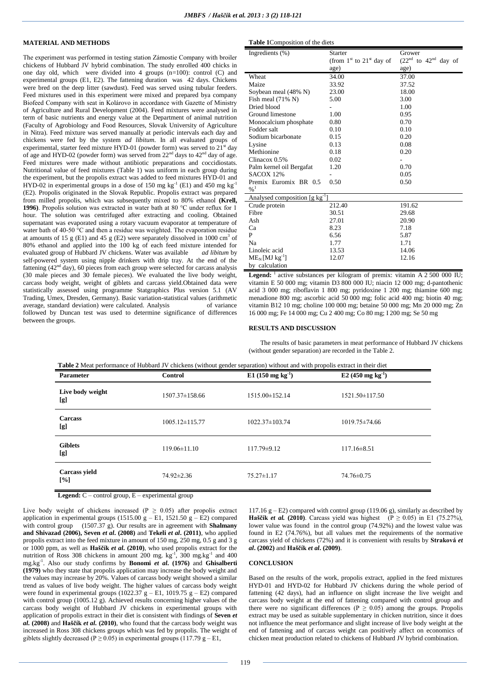## **MATERIAL AND METHODS**

The experiment was performed in testing station Zámostie Company with broiler chickens of Hubbard JV hybrid combination. The study enrolled 400 chicks in one day old, which were divided into 4 groups (n=100): control (C) and experimental groups (E1, E2). The fattening duration was 42 days. Chickens were bred on the deep litter (sawdust). Feed was served using tubular feeders. Feed mixtures used in this experiment were mixed and prepared bya company Biofeed Company with seat in Kolárovo in accordance with Gazette of Ministry of Agriculture and Rural Development (2004). Feed mixtures were analysed in term of basic nutrients and energy value at the Department of animal nutrition (Faculty of Agrobiology and Food Resources, Slovak University of Agriculture in Nitra). Feed mixture was served manually at periodic intervals each day and chickens were fed by the system *ad libitum*. In all evaluated groups of experimental, starter feed mixture HYD-01 (powder form) was served to  $21^{\text{st}}$  day of age and HYD-02 (powder form) was served from  $22<sup>nd</sup>$  days to  $42<sup>nd</sup>$  day of age. Feed mixtures were made without antibiotic preparations and coccidiostats. Nutritional value of feed mixtures (Table 1) was uniform in each group during the experiment, but the propolis extract was added to feed mixtures HYD-01 and HYD-02 in experimental groups in a dose of 150 mg  $kg^{-1}$  (E1) and 450 mg  $kg^{-1}$ (E2). Propolis originated in the Slovak Republic. Propolis extract was prepared from milled propolis, which was subsequently mixed to 80% ethanol **(Krell, 1996)**. Propolis solution was extracted in water bath at 80 °C under reflux for 1 hour. The solution was centrifuged after extracting and cooling. Obtained supernatant was evaporated using a rotary vacuum evaporator at temperature of water bath of 40-50 °C and then a residue was weighted. The evaporation residue at amounts of 15 g (E1) and 45 g (E2) were separately dissolved in 1000 cm<sup>3</sup> of 80% ethanol and applied into the 100 kg of each feed mixture intended for evaluated group of Hubbard JV chickens. Water was available *ad libitum* by self-powered system using nipple drinkers with drip tray. At the end of the fattening  $(42<sup>nd</sup> day)$ , 60 pieces from each group were selected for carcass analysis (30 male pieces and 30 female pieces). We evaluated the live body weight, carcass body weight, weight of giblets and carcass yield.Obtained data were statistically assessed using programme Statgraphics Plus version 5.1 (AV Trading, Umex, Dresden, Germany). Basic variation-statistical values (arithmetic average, standard deviation) were calculated. Analysis of variance followed by Duncan test was used to determine significance of differences between the groups.

#### **Table 1**Composition of the diets

| Ingredients (%)                            | <b>Starter</b>               | Grower                   |  |  |  |
|--------------------------------------------|------------------------------|--------------------------|--|--|--|
|                                            | (from $1st$ to $21st$ day of | $(22nd$ to $42nd$ day of |  |  |  |
|                                            | age)                         | age)                     |  |  |  |
| Wheat                                      | 34.00                        | 37.00                    |  |  |  |
| Maize                                      | 33.92                        | 37.52                    |  |  |  |
| Soybean meal (48% N)                       | 23.00                        | 18.00                    |  |  |  |
| Fish meal (71% N)                          | 5.00                         | 3.00                     |  |  |  |
| Dried blood                                |                              | 1.00                     |  |  |  |
| Ground limestone                           | 1.00                         | 0.95                     |  |  |  |
| Monocalcium phosphate                      | 0.80                         | 0.70                     |  |  |  |
| Fodder salt                                | 0.10                         | 0.10                     |  |  |  |
| Sodium bicarbonate                         | 0.15                         | 0.20                     |  |  |  |
| Lysine                                     | 0.13                         | 0.08                     |  |  |  |
| Methionine                                 | 0.18                         | 0.20                     |  |  |  |
| Clinacox $0.5%$                            | 0.02                         |                          |  |  |  |
| Palm kernel oil Bergafat                   | 1.20                         | 0.70                     |  |  |  |
| SACOX 12%                                  |                              | 0.05                     |  |  |  |
| Premix Euromix BR 0.5                      | 0.50                         | 0.50                     |  |  |  |
| $\frac{9}{6}$ <sup>1</sup>                 |                              |                          |  |  |  |
| Analysed composition [g kg <sup>-1</sup> ] |                              |                          |  |  |  |
| Crude protein                              | 212.40                       | 191.62                   |  |  |  |
| Fibre                                      | 30.51                        | 29.68                    |  |  |  |
| Ash                                        | 27.01                        | 20.90                    |  |  |  |
| Ca                                         | 8.23                         | 7.18                     |  |  |  |
| P                                          | 6.56                         | 5.87                     |  |  |  |
| Na                                         | 1.77                         | 1.71                     |  |  |  |
| Linoleic acid                              | 13.53                        | 14.06                    |  |  |  |
| $ME_N$ [MJ $kg^{-1}$ ]                     | 12.07                        | 12.16                    |  |  |  |
| by calculation                             |                              |                          |  |  |  |
|                                            |                              |                          |  |  |  |

**Legend:**  $\frac{1}{1}$  active substances per kilogram of premix: vitamin A 2 500 000 IU; vitamin E 50 000 mg; vitamin D3 800 000 IU; niacin 12 000 mg; d-pantothenic acid 3 000 mg; riboflavin 1 800 mg; pyridoxine 1 200 mg; thiamine 600 mg; menadione 800 mg; ascorbic acid 50 000 mg; folic acid 400 mg; biotin 40 mg; vitamin B12 10 mg; choline 100 000 mg; betaine 50 000 mg; Mn 20 000 mg; Zn 16 000 mg; Fe 14 000 mg; Cu 2 400 mg; Co 80 mg; I 200 mg; Se 50 mg

## **RESULTS AND DISCUSSION**

The results of basic parameters in meat performance of Hubbard JV chickens (without gender separation) are recorded in the Table 2.

| <b>Table 2</b> Meat performance of Hubbard JV chickens (without gender separation) without and with propolis extract in their diet<br><b>Parameter</b> | Control              | E1 $(150 \text{ mg kg}^{-1})$ | $E2(450 \text{ mg kg}^{-1})$ |
|--------------------------------------------------------------------------------------------------------------------------------------------------------|----------------------|-------------------------------|------------------------------|
|                                                                                                                                                        |                      |                               |                              |
| Live body weight<br>[g]                                                                                                                                | 1507.37±158.66       | 1515.00±152.14                | $1521.50 \pm 117.50$         |
| Carcass<br>[g]                                                                                                                                         | $1005.12 \pm 115.77$ | $1022.37 \pm 103.74$          | $1019.75 \pm 74.66$          |
| <b>Giblets</b><br>[g]                                                                                                                                  | $119.06 \pm 11.10$   | $117.79 \pm 9.12$             | $117.16 \pm 8.51$            |
| Carcass yield<br>$\lceil \% \rceil$                                                                                                                    | 74.92±2.36           | $75.27 \pm 1.17$              | 74.76 ± 0.75                 |

**Table 2** Meat performance of Hubbard JV chickens (without gender separation) without and with propolis extract in their diet

**Legend:** C – control group, E – experimental group

Live body weight of chickens increased ( $P \ge 0.05$ ) after propolis extract application in experimental groups (1515.00 g – E1, 1521.50 g – E2) compared with control group (1507.37 g). Our results are in agreement with **Shalmany and Shivazad (2006), Seven** *et al***. (2008)** and **Tekeli** *et al***. (2011)**, who applied propolis extract into the feed mixture in amount of 150 mg, 250 mg, 0.5 g and 3 g or 1000 ppm, as well as **Haščík** *et al***. (2010)**, who used propolis extract for the nutrition of Ross 308 chickens in amount 200 mg.  $kg^{-1}$ , 300 mg.  $kg^{-1}$  and 400 mg.kg-1 . Also our study confirms by **Bonomi** *et al***. (1976)** and **Ghisalberti (1979)** who they state that propolis application may increase the body weight and the values may increase by 20%. Values of carcass body weight showed a similar trend as values of live body weight. The higher values of carcass body weight were found in experimental groups  $(1022.37 \text{ g} - \text{E1}, 1019.75 \text{ g} - \text{E2})$  compared with control group (1005.12 g). Achieved results concerning higher values of the carcass body weight of Hubbard JV chickens in experimental groups with application of propolis extract in their diet is consistent with findings of **Seven** *et al.* **(2008)** and **Haščík** *et al.* **(2010)**, who found that the carcass body weight was increased in Ross 308 chickens groups which was fed by propolis. The weight of giblets slightly decreased (P  $\geq$  0.05) in experimental groups (117.79 g – E1,

117.16  $g - E2$ ) compared with control group (119.06 g), similarly as described by **Haščík** *et al.* (2010). Carcass yield was highest (P  $\geq$  0.05) in E1 (75.27%), lower value was found in the control group (74.92%) and the lowest value was found in E2 (74.76%), but all values met the requirements of the normative carcass yield of chickens (72%) and it is convenient with results by **Straková** *et al***. (2002)** and **Haščík** *et al***. (2009)**.

### **CONCLUSION**

Based on the results of the work, propolis extract, applied in the feed mixtures HYD-01 and HYD-02 for Hubbard JV chickens during the whole period of fattening (42 days), had an influence on slight increase the live weight and carcass body weight at the end of fattening compared with control group and there were no significant differences ( $P \ge 0.05$ ) among the groups. Propolis extract may be used as suitable supplementary in chicken nutrition, since it does not influence the meat performance and slight increase of live body weight at the end of fattening and of carcass weight can positively affect on economics of chicken meat production related to chickens of Hubbard JV hybrid combination.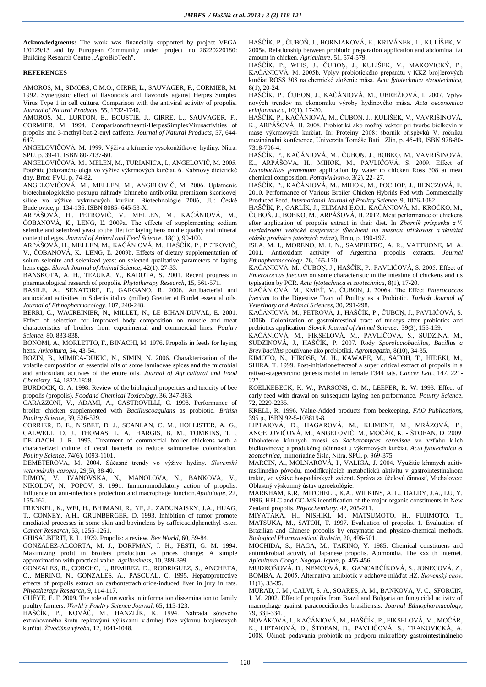**Acknowledgments:** The work was financially supported by project VEGA 1/0129/13 and by European Community under project no 26220220180: Building Research Centre "AgroBioTech".

#### **REFERENCES**

AMOROS, M., SIMOES, C.M.O., GIRRE, L., SAUVAGER, F., CORMIER, M. 1992. Synergistic effect of flavonoids and flavonols against Herpes Simplex Virus Type 1 in cell culture. Comparison with the antiviral activity of propolis. *Journal of Natural Products*, 55, 1732-1740.

AMOROS, M., LURTON, E., BOUSTIE, J., GIRRE, L., SAUVAGER, F., CORMIER, M. 1994. Comparisonoftheanti-HerpesSimplexVirusactivities of propolis and 3-methyl-but-2-enyl caffeate. *Journal of Natural Products*, 57, 644- 647.

ANGELOVIČOVÁ, M. 1999. Výživa a kŕmenie vysokoúžitkovej hydiny. Nitra: SPU, p. 39-41, ISBN 80-7137-60.

ANGELOVIČOVÁ, M., MELEN, M., TURIANICA, I., ANGELOVIČ, M. 2005. Použitie jódovaného oleja vo výžive výkrmových kurčiat. 6. Kabrtovy dietetické dny. Brno: FVU, p. 74-82.

ANGELOVIČOVÁ, M., MELLEN, M., ANGELOVIČ, M. 2006. Uplatnenie biotechnologického postupu náhrady kŕmneho antibiotika premixom škoricovej silice vo výžive výkrmových kurčiat. Biotechnológie 2006, JU: České Budejovice, p. 134-136. ISBN 8085- 645-53-X.

ARPÁŠOVÁ, H., PETROVIČ, V., MELLEN, M., KAČÁNIOVÁ, M., ČOBANOVÁ, K., LENG, Ľ. 2009a. The effects of supplementing sodium selenite and selenized yeast to the diet for laying hens on the quality and mineral content of eggs. *Journal of Animal and Feed Science.* 18(1), 90-100.

ARPÁŠOVÁ, H., MELLEN, M., KAČÁNIOVÁ, M., HAŠČÍK, P., PETROVIČ, V., ČOBANOVÁ, K., LENG, Ľ. 2009b. Effects of dietary supplementation of soium selenite and selenized yeast on selected qualitative parameters of laying hens eggs. *Slovak Journal of Animal Science*, 42(1), 27-33.

BANSKOTA, A. H., TEZUKA, Y., KADOTA, S. 2001. Recent progress in pharmacological research of propolis. *Phytotherapy Research*, 15, 561-571.

BASILE, A., SENATORE, F., GARGANO, R. 2006. Antibacterial and antioxidant activities in Sidertis italica (miller) Greuter et Burdet essential oils. *Journal of Ethnopharmacology*, 107, 240-248.

BERRI, C., WACREINIER, N., MILLET, N., LE BIHAN-DUVAL, E. 2001. Effect of selection for improved body composition on muscle and meat characteristics of broilers from experimental and commercial lines. *Poultry Science*, 80, 833-838.

BONOMI, A., MORLETTO, F., BINACHI, M. 1976. Propolis in feeds for laying hens. *Avicoltura*, 54, 43-54.

BOZIN, B., MIMICA-DUKIC, N., SIMIN, N. 2006. Charakterization of the volatile composition of essential oils of some lamiaceae spices and the microbial and antioxidant acitivies of the entire oils. *Journal of Agricultural and Food Chemistry*, 54, 1822-1828.

BURDOCK, G. A. 1998. Review of the biological properties and toxicity of bee propolis (propolis). *Foodand Chemical Toxicology*, 36, 347-363.

CARAZZONI, V., ADAMI, A., CASTROVILLI, C. 1998. Performance of broiler chicken supplemented with *Bacilluscoagulans* as probiotic. *British Poultry Science,* 39, 526-529.

CORRIER, D. E., NISBET, D. J., SCANLAN, C. M., HOLLISTER, A. G., CALWELL, D. J., THOMAS, L. A., HARGIS, B. M., TOMKINS, T. , DELOACH, J. R. 1995. Treatment of commercial broiler chickens with a characterized culture of cecal bacteria to reduce salmonellae colonization. *Poultry Science*, 74(6), 1093-1101.

DEMETEROVÁ, M. 2004. Súčasné trendy vo výžive hydiny. *Slovenský veterinársky časopis*, 29(5), 38-40.

DIMOV, V., IVANOVSKA, N., MANOLOVA, N., BANKOVA, V., NIKOLOV, N., POPOV, S. 1991. Immunomodulatory action of propolis. Influence on anti-infectious protection and macrophage function*.Apidologie*, 22, 155-162.

FRENKEL, K., WEI, H., BHIMANI, R., YE, J., ZADUNAISKY, J.A., HUAG, T., CONNEY, A.H., GRUNBERGER, D. 1993. Inhibition of tumor promote rmediated processes in some skin and bovinelens by caffeicacidphenethyl ester. *Cancer Research*, 53, 1255-1261.

GHISALBERTI, E. L. 1979. Propolis: a review. *Bee World*, 60, 59-84.

GONZALEZ-ALCORTA, M. J., DORFMAN, J. H., PESTI, G. M. 1994. Maximizing profit in broilers production as prices change: A simple approximation with practical value. *Agribusiness*, 10, 389-399.

GONZALES, R., CORCHO, I., REMIREZ, D., RODRIGUEZ, S., ANCHETA, O., MERINO, N., GONZALES, A., PASCUAL, C. 1995. Hepatoprotective effects of propolis extract on carbontetrachloride-induced liver in jury in rats. *Phytotherapy Research*, 9, 114-117.

GUÈYE, E. F. 2009. The role of networks in information dissemination to family poultry farmers. *World's Poultry Science Journal,* 65, 115-123.

HAŠČÍK, P., KOVÁČ, M., HANZLÍK, K. 1994. Náhrada sójového extrahovaného šrotu repkovými výliskami v druhej fáze výkrmu brojlerových kurčiat. *Živočíšna výroba*, 12, 1041-1048.

HAŠČÍK, P., ČUBOŇ, J., HORNIAKOVÁ, E., KRIVÁNEK, L., KULÍŠEK, V. 2005a. Relationship between probiotic preparation application and abdominal fat amount in chicken. *Agriculture*, 51, 574-579.

HAŠČÍK, P., WEIS, J., ČUBOŅ, J., KULÍŠEK, V., MAKOVICKÝ, P., KAČÁNIOVÁ, M. 2005b. Vplyv probiotického preparátu v KKZ brojlerových kurčiat ROSS 308 na chemické zloženie mäsa. *Acta fytotechnica etzootechnica*,  $8(1)$ , 20-24.

HAŠČÍK, P., ČUBOŅ, J., KAČÁNIOVÁ, M., UBREŽIOVÁ, I. 2007. Vplyv nových trendov na ekonomiku výroby hydinového mäsa. *Acta oeconomica erinformatica*, 10(1), 17-20.

HAŠČÍK, P., KAČÁNIOVÁ, M., ČUBOŅ, J., KULÍŠEK, V., VAVRIŠINOVÁ, K., ARPÁŠOVÁ, H. 2008. Probiotiká ako možný vektor pri tvorbe bielkovín v mäse výkrmových kurčiat. In: Proteiny 2008: sbornik příspěvků V. ročníku mezinárodní konference, Univerzita Tomáše Bati , Zlín, p. 45-49, ISBN 978-80- 7318-706-4.

HAŠČÍK, P., KAČÁNIOVÁ, M., ČUBOŅ, J., BOBKO, M., VAVRIŠINOVÁ, K., ARPÁŠOVÁ, H., MIHOK, M., PAVLIČOVÁ, S. 2009. Effect of *Lactobacillus fermentum* application by water to chicken Ross 308 at meat chemical composition. *Potravinárstvo*, 3(2), 22- 27.

HAŠČÍK, P., KAČÁNIOVÁ, M., MIHOK, M., POCHOP, J., BENCZOVÁ, E. 2010. Performance of Various Broiler Chicken Hybrids Fed with Commercially Produced Feed. *International Journal of Poultry Science*, 9, 1076-1082.

HAŠČÍK, P., GARLÍK, J., ELIMAM E.O.I., KAČÁNIOVÁ, M., KROČKO, M., ČUBOŇ, J., BOBKO, M., ARPÁŠOVÁ, H. 2012. Meat performance of chickens after application of propolis extract in their diet. In *Zborník príspevku z V. mezinárodní vedecké konference (Šlechtení na masnou užitkovost a aktuální otázky produkce jatečných zvírat*), Brno, p. 190-197.

ISLA, M. I., MORENO, M. I. N., SAMPIETRO, A. R., VATTUONE, M. A. 2001. Antioxidant activity of Argentina propolis extracts. *Journal Ethnopharmacology*, 76, 165-170.

KAČÁNIOVÁ, M., ČUBOŅ, J., HAŠČÍK, P., PAVLIČOVÁ, S. 2005. Effect of *Enterococcus faecium* on some characteristic in the intestine of chickens and its typisation by PCR. *Acta fytotechnica et zootechnica*, 8(1), 17-20.

KAČÁNIOVÁ, M., KMEŤ, V., ČUBOŅ, J. 2006a. The Effect *Enterococcus faecium* to the Digestive Tract of Poultry as a Probiotic. *Turkish Journal of Veterinary and Animal Sciences*, 30, 291-298.

KAČÁNIOVÁ, M., PETROVÁ, J., HAŠČÍK, P., ČUBOŅ, J., PAVLIČOVÁ, S. 2006b. Colonization of gastrointestinal tract of turkeys after probiotics and prebiotics application. *Slovak Journal of Animal Science.*, 39(3), 155-159.

KAČÁNIOVÁ, M., FIKSELOVÁ, M., PAVLIČOVÁ, S., SUDZINA, M., SUDZINOVÁ, J., HAŠČÍK, P. 2007. Rody *Sporolactobacillus, Bacillus a Brevibacillus* používané ako probiotiká. *Agromagazin*, 8(10), 34-35.

KIMOTO, N., HIROSE, M. H., KAWABE, M., SATOH, T., HIDEKI, M., SHIRA, T. 1999. Post-initiationeffectsof a super critical extract of propolis in a rattwo-stagecarcino genesis model in female F344 rats. *Cancer Lett.*, 147, 221- 227.

KOELKEBECK, K. W., PARSONS, C. M., LEEPER, R. W. 1993. Effect of early feed with drawal on subsequent laying hen performance. *Poultry Science*, 72, 2229-2235.

KRELL, R. 1996. Value-Added products from beekeeping. *FAO Publications*, 395 p., ISBN 92-5-103819-8.

LIPTAIOVÁ, D., HAGAROVÁ, M., KLIMENT, M., MRÁZOVÁ, Ľ., ANGELOVIČOVÁ, M., ANGELOVIČ, M., MOČÁR, K. - ŠTOFAN, D. 2009. Obohatenie kŕmnych zmesí so *Sacharomyces cerevisae* vo vzťahu k ich bielkovinovej a produkčnej účinnosti u výkrmových kurčiat. *Acta fytotechnica et zootechnica*, mimoriadne číslo, Nitra, SPU, p. 369-375.

MARCIN, A., MOLNÁROVÁ, I., VALIGA, J. 2004. Využitie kŕmnych aditív rastlinného pôvodu, modifikujúcich metabolickú aktivitu v gastrointestinálnom trakte, vo výžive hospodárskych zvierat. Správa za účelovú činnosť, Michalovce: Oblastný výskumný ústav agroekológie.

MARKHAM, K.R., MITCHELL, K.A., WILKINS, A. L., DALDY, J.A., LU, Y. 1996. HPLC and GC-MS identification of the major organic constituents in New Zealand propolis. *Phytochemistry,* 42, 205-211.

MIYATAKA, H., NISHIKI, M., MATSUMOTO, H., FUJIMOTO, T., MATSUKA, M., SATOH, T. 1997. Evaluation of propolis. 1. Evaluation of Brazilian and Chinese propolis by enzymatic and physico-chemical methods. *Biological Pharmaceitical Bulletin*, 20, 496-501.

MOCHIDA, S., HAGA, M., TAKINO, Y. 1985. Chemical constituens and antimikrobial activity of Japanese propolis. Apimondia. The xxx th Internet. *Apicultural Congr. Nagoya-Japan*, p. 455-456.

MUDROŇOVÁ, D., NEMCOVÁ, R., GANCARČÍKOVÁ, S., JONECOVÁ, Z., BOMBA, A. 2005. Alternatíva antibiotík v odchove mláďat HZ. *Slovenský chov*, 11(1), 33-35.

MURAD, J. M., CALVI, S. A., SOARES, A. M., BANKOVA, V. C., SFORCIN, J. M. 2002. Effectof propolis from Brazil and Bulgaria on fungucidal activity of macrophage against paracoccidioides brasiliensis. *Journal Ethnopharmacology*, 79, 331-334.

NOVÁKOVÁ, I., KAČÁNIOVÁ, M., HAŠČÍK, P., FIKSELOVÁ, M., MOČÁR, K., LIPTAIOVÁ, D., ŠTOFAN, D., PAVLIČOVÁ, S., TRAKOVICKÁ, A. 2008. Účinok podávania probiotík na podporu mikroflóry gastrointestinálneho